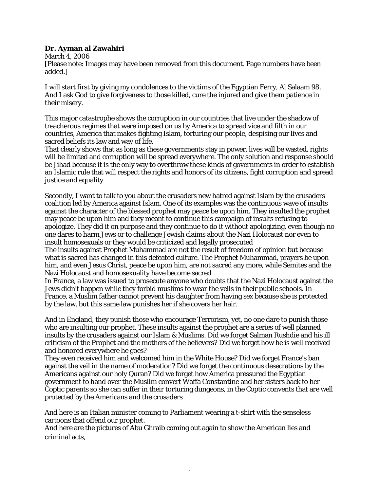## **Dr. Ayman al Zawahiri**

March 4, 2006

[Please note: Images may have been removed from this document. Page numbers have been added.]

I will start first by giving my condolences to the victims of the Egyptian Ferry, Al Salaam 98. And I ask God to give forgiveness to those killed, cure the injured and give them patience in their misery.

This major catastrophe shows the corruption in our countries that live under the shadow of treacherous regimes that were imposed on us by America to spread vice and filth in our countries, America that makes fighting Islam, torturing our people, despising our lives and sacred beliefs its law and way of life.

That clearly shows that as long as these governments stay in power, lives will be wasted, rights will be limited and corruption will be spread everywhere. The only solution and response should be Jihad because it is the only way to overthrow these kinds of governments in order to establish an Islamic rule that will respect the rights and honors of its citizens, fight corruption and spread justice and equality

Secondly, I want to talk to you about the crusaders new hatred against Islam by the crusaders coalition led by America against Islam. One of its examples was the continuous wave of insults against the character of the blessed prophet may peace be upon him. They insulted the prophet may peace be upon him and they meant to continue this campaign of insults refusing to apologize. They did it on purpose and they continue to do it without apologizing, even though no one dares to harm Jews or to challenge Jewish claims about the Nazi Holocaust nor even to insult homosexuals or they would be criticized and legally prosecuted

The insults against Prophet Muhammad are not the result of freedom of opinion but because what is sacred has changed in this defeated culture. The Prophet Muhammad, prayers be upon him, and even Jesus Christ, peace be upon him, are not sacred any more, while Semites and the Nazi Holocaust and homosexuality have become sacred

In France, a law was issued to prosecute anyone who doubts that the Nazi Holocaust against the Jews didn't happen while they forbid muslims to wear the veils in their public schools. In France, a Muslim father cannot prevent his daughter from having sex because she is protected by the law, but this same law punishes her if she covers her hair.

And in England, they punish those who encourage Terrorism, yet, no one dare to punish those who are insulting our prophet. These insults against the prophet are a series of well planned insults by the crusaders against our Islam & Muslims. Did we forget Salman Rushdie and his ill criticism of the Prophet and the mothers of the believers? Did we forget how he is well received and honored everywhere he goes?

They even received him and welcomed him in the White House? Did we forget France's ban against the veil in the name of moderation? Did we forget the continuous desecrations by the Americans against our holy Quran? Did we forget how America pressured the Egyptian government to hand over the Muslim convert Waffa Constantine and her sisters back to her Coptic parents so she can suffer in their torturing dungeons, in the Coptic convents that are well protected by the Americans and the crusaders

And here is an Italian minister coming to Parliament wearing a t-shirt with the senseless cartoons that offend our prophet.

And here are the pictures of Abu Ghraib coming out again to show the American lies and criminal acts,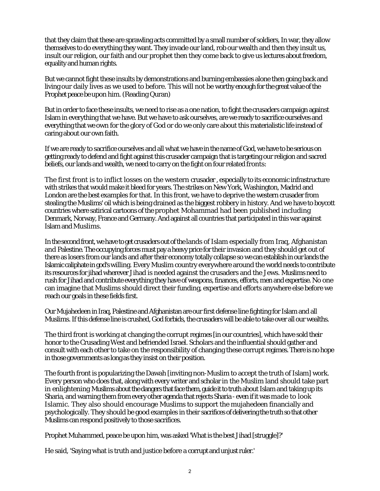that they claim that these are sprawling acts committed by a small number of soldiers, In war, they allow themselves to do everything they want. They invade our land, rob our wealth and then they insult us, insult our religion, our faith and our prophet then they come back to give us lectures about freedom, equality and human rights.

But we cannot fight these insults by demonstrations and burning embassies alone then going back and living our daily lives as we used to before. This will not be worthy enough for the great value of the Prophet peace be upon him. (Reading Quran)

But in order to face these insults, we need to rise as a one nation, to fight the crusaders campaign against Islam in everything that we have. But we have to ask ourselves, are we ready to sacrifice ourselves and everything that we own for the glory of God or do we only care about this materialistic life instead of caring about our own faith.

If we are ready to sacrifice ourselves and all what we have in the name of God, we have to be serious on getting ready to defend and fight against this crusader campaign that is targeting our religion and sacred beliefs, our lands and wealth, we need to carry on the fight on four related fronts:

The first front is to inflict losses on the western crusader , especially to its economic infrastructure with strikes that would make it bleed for years. The strikes on New York, Washington, Madrid and London are the best examples for that. In this front, we have to deprive the western crusader from stealing the Muslims' oil which is being drained as the biggest robbery in history. And we have to boycott countries where satirical cartoons of the prophet Mohammad had been published including Denmark, Norway, France and Germany. And against all countries that participated in this war against Islam and Muslims.

In the second front, we have to get crusaders out of the lands of Islam especially from Iraq, Afghanistan and Palestine. The occupying forces must pay a heavy price for their invasion and they should get out of there as losers from our lands and after their economy totally collapse so we can establish in our lands the Islamic caliphate in god's willing. Every Muslim country everywhere around the world needs to contribute its resources for jihad wherever Jihad is needed against the crusaders and the Jews. Muslims need to rush for Jihad and contribute everything they have of weapons, finances, efforts, men and expertise. No one can imagine that Muslims should direct their funding, expertise and efforts anywhere else before we reach our goals in these fields first.

Our Mujahedeen in Iraq, Palestine and Afghanistan are our first defense line fighting for Islam and all Muslims. If this defense line is crushed, God forbids, the crusaders will be able to take over all our wealths.

The third front is working at changing the corrupt regimes [in our countries], which have sold their honor to the Crusading West and befriended Israel. Scholars and the influential should gather and consult with each other to take on the responsibility of changing these corrupt regimes. There is no hope in those governments as long as they insist on their position.

The fourth front is popularizing the Dawah [inviting non-Muslim to accept the truth of Islam] work. Every person who does that, along with every writer and scholar in the Muslim land should take part in enlightening Muslims about the dangers that face them, guide it to truth about Islam and taking up its Sharia, and warning them from every other agenda that rejects Sharia - even if it was made to look Islamic. They also should encourage Muslims to support the mujahedeen financially and psychologically. They should be good examples in their sacrifices of delivering the truth so that other Muslims can respond positively to those sacrifices.

Prophet Muhammed, peace be upon him, was asked 'What is the best Jihad [struggle]?'

He said, 'Saying what is truth and justice before a corrupt and unjust ruler.'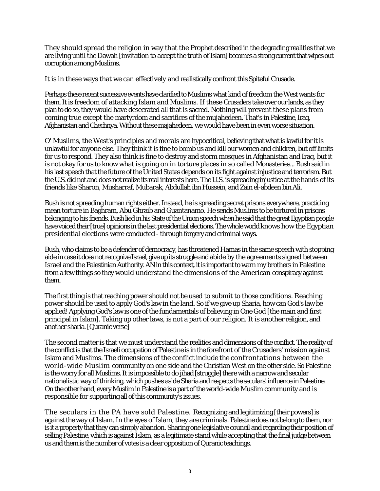They should spread the religion in way that the Prophet described in the degrading realities that we are living until the Dawah [invitation to accept the truth of Islam] becomes a strong current that wipes out corruption among Muslims.

It is in these ways that we can effectively and realistically confront this Spiteful Crusade.

Perhaps these recent successive events have clarified to Muslims what kind of freedom the West wants for them. It is freedom of attacking Islam and Muslims. If these Crusaders take over our lands, as they plan to do so, they would have desecrated all that is sacred. Nothing will prevent these plans from coming true except the martyrdom and sacrifices of the mujahedeen. That's in Palestine, Iraq, Afghanistan and Chechnya. Without these majahedeen, we would have been in even worse situation.

O' Muslims, the West's principles and morals are hypocritical, believing that what is lawful for it is unlawful for anyone else. They think it is fine to bomb us and kill our women and children, but off limits for us to respond. They also think is fine to destroy and storm mosques in Afghanistan and Iraq, but it is not okay for us to know what is going on in torture places in so called Monasteries... Bush said in his last speech that the future of the United States depends on its fight against injustice and terrorism. But the U.S. did not and does not realize its real interests here. The U.S. is spreading injustice at the hands of its friends like Sharon, Musharraf, Mubarak, Abdullah ibn Hussein, and Zain el-abdeen bin Ali.

Bush is not spreading human rights either. Instead, he is spreading secret prisons everywhere, practicing mean torture in Baghram, Abu Ghraib and Guantanamo. He sends Muslims to be tortured in prisons belonging to his friends. Bush lied in his State of the Union speech when he said that the great Egyptian people have voiced their [true] opinions in the last presidential elections. The whole world knows how the Egyptian presidential elections were conducted - through forgery and criminal ways.

Bush, who claims to be a defender of democracy, has threatened Hamas in the same speech with stopping aide in case it does not recognize Israel, give up its struggle and abide by the agreements signed between Israel and the Palestinian Authority. AN in this context, it is important to warn my brothers in Palestine from a few things so they would understand the dimensions of the American conspiracy against them.

The first thing is that reaching power should not be used to submit to those conditions. Reaching power should be used to apply God's law in the land. So if we give up Sharia, how can God's law be applied! Applying God's law is one of the fundamentals of believing in One God [the main and first principal in Islam]. Taking up other laws, is not a part of our religion. It is another religion, and another sharia. [Quranic verse]

The second matter is that we must understand the realities and dimensions of the conflict. The reality of the conflict is that the Israeli occupation of Palestine is in the forefront of the Crusaders' mission against Islam and Muslims. The dimensions of the conflict include the confrontations between the world-wide Muslim community on one side and the Christian West on the other side. So Palestine is the worry for all Muslims. It is impossible to do jihad [struggle] there with a narrow and secular nationalistic way of thinking, which pushes aside Sharia and respects the seculars' influence in Palestine. On the other hand, every Muslim in Palestine is a part of the world-wide Muslim community and is responsible for supporting all of this community's issues.

The seculars in the PA have sold Palestine. Recognizing and legitimizing [their powers] is against the way of Islam. In the eyes of Islam, they are criminals. Palestine does not belong to them, nor is it a property that they can simply abandon. Sharing one legislative council and regarding their position of selling Palestine, which is against Islam, as a legitimate stand while accepting that the final judge between us and them is the number of votes is a clear opposition of Quranic teachings.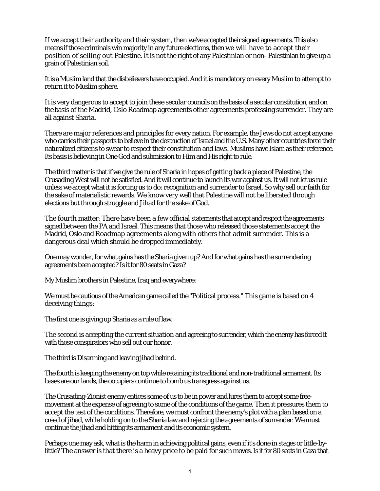If we accept their authority and their system, then we've accepted their signed agreements. This also means if those criminals win majority in any future elections, then we will have to accept their position of selling out Palestine. It is not the right of any Palestinian or non- Palestinian to give up a grain of Palestinian soil.

It is a Muslim land that the disbelievers have occupied. And it is mandatory on every Muslim to attempt to return it to Muslim sphere.

It is very dangerous to accept to join these secular councils on the basis of a secular constitution, and on the basis of the Madrid, Oslo Roadmap agreements other agreements professing surrender. They are all against Sharia.

There are major references and principles for every nation. For example, the Jews do not accept anyone who carries their passports to believe in the destruction of Israel and the U.S. Many other countries force their naturalized citizens to swear to respect their constitution and laws. Muslims have Islam as their reference. Its basis is believing in One God and submission to Him and His right to rule.

The third matter is that if we give the rule of Sharia in hopes of getting back a piece of Palestine, the Crusading West will not be satisfied. And it will continue to launch its war against us. It will not let us rule unless we accept what it is forcing us to do: recognition and surrender to Israel. So why sell our faith for the sake of materialistic rewards. We know very well that Palestine will not be liberated through elections but through struggle and Jihad for the sake of God.

The fourth matter: There have been a few official statements that accept and respect the agreements signed between the PA and Israel. This means that those who released those statements accept the Madrid, Oslo and Roadmap agreements along with others that admit surrender. This is a dangerous deal which should be dropped immediately.

One may wonder, for what gains has the Sharia given up? And for what gains has the surrendering agreements been accepted? Is it for 80 seats in Gaza?

My Muslim brothers in Palestine, Iraq and everywhere:

We must be cautious of the American game called the "Political process." This game is based on 4 deceiving things:

The first one is giving up Sharia as a rule of law.

The second is accepting the current situation and agreeing to surrender, which the enemy has forced it with those conspirators who sell out our honor.

The third is Disarming and leaving jihad behind.

The fourth is keeping the enemy on top while retaining its traditional and non-traditional armament. Its bases are our lands, the occupiers continue to bomb us transgress against us.

The Crusading-Zionist enemy entices some of us to be in power and lures them to accept some freemovement at the expense of agreeing to some of the conditions of the game. Then it pressures them to accept the test of the conditions. Therefore, we must confront the enemy's plot with a plan based on a creed of jihad, while holding on to the Sharia law and rejecting the agreements of surrender. We must continue the jihad and hitting its armament and its economic system.

Perhaps one may ask, what is the harm in achieving political gains, even if it's done in stages or little-bylittle? The answer is that there is a heavy price to be paid for such moves. Is it for 80 seats in Gaza that